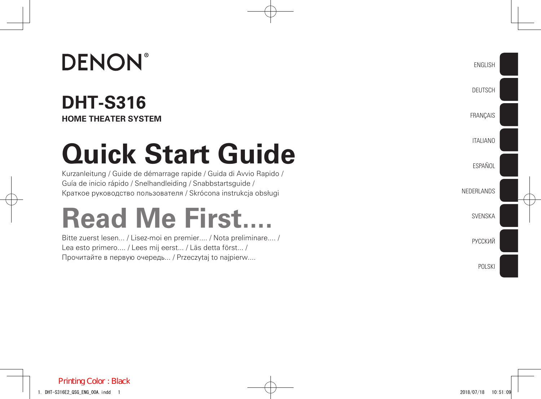## **DENON**®

### **DHT-S316 HOME THEATER SYSTEM**

# **Quick Start Guide**

Kurzanleitung / Guide de démarrage rapide / Guida di Avvio Rapido / Guía de inicio rápido / Snelhandleiding / Snabbstartsguide / Краткое руководство пользователя / Skrócona instrukcja obsługi

# **Read Me First....**

Bitte zuerst lesen... / Lisez-moi en premier.... / Nota preliminare.... / Lea esto primero.... / Lees mij eerst... / Läs detta först... / Прочитайте в первую очередь... / Przeczytaj to najpierw....

English

Deutsch

**FRANCAIS** 

**ITALIANO** 

ESPAÑOL

NEDERLANDS

SVENSKA

РУССКИЙ

POLSKI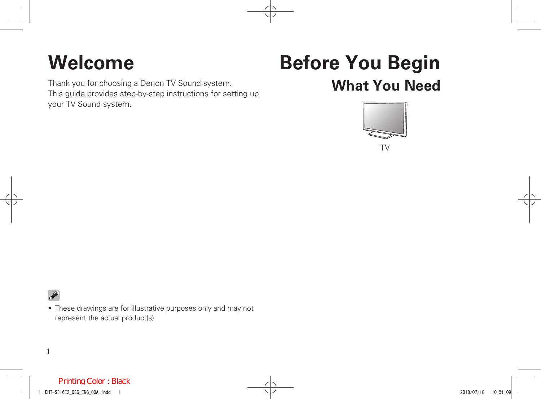## **Welcome Before You Begin**

#### Thank you for choosing a Denon TV Sound system. This guide provides step-by-step instructions for setting up your TV Sound system.



**What You Need**



• These drawings are for illustrative purposes only and may not represent the actual product(s).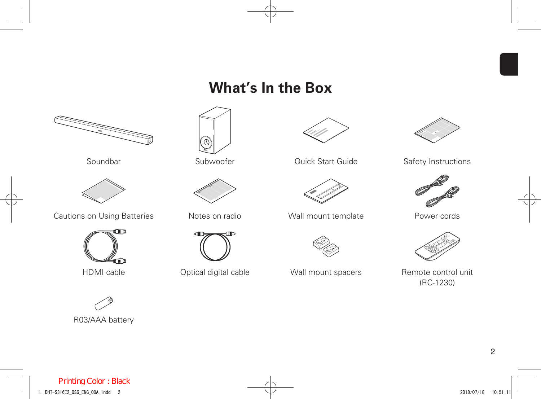### **What's In the Box**







Soundbar Subwoofer Cuick Start Guide Safety Instructions





HDMI cable **CONICCO** Optical digital cable **Wall mount spacers** Remote control unit (RC-1230)



Cautions on Using Batteries **Notes on radio** Wall mount template **Power cords** 



R03/AAA battery





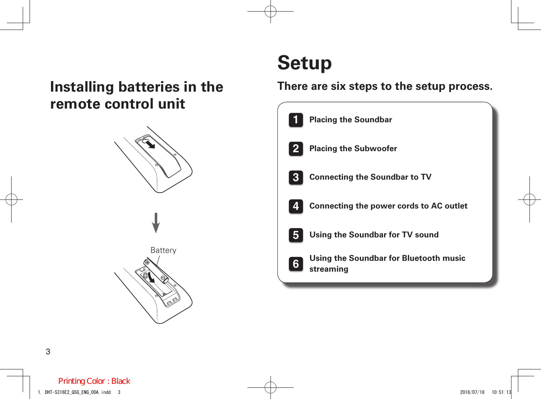### **Installing batteries in the remote control unit**



## **Setup**

#### **There are six steps to the setup process.**

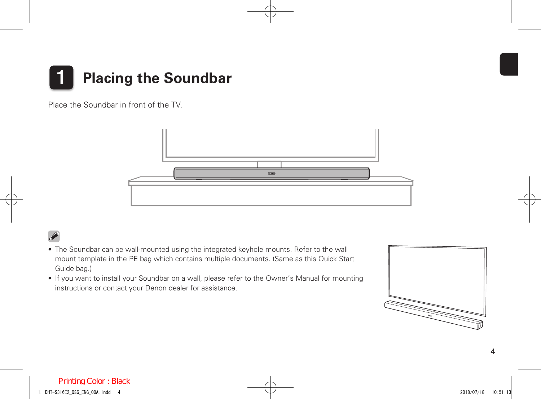

Place the Soundbar in front of the TV.



- The Soundbar can be wall-mounted using the integrated keyhole mounts. Refer to the wall mount template in the PE bag which contains multiple documents. (Same as this Quick Start Guide bag.)
- • If you want to install your Soundbar on a wall, please refer to the Owner's Manual for mounting instructions or contact your Denon dealer for assistance.

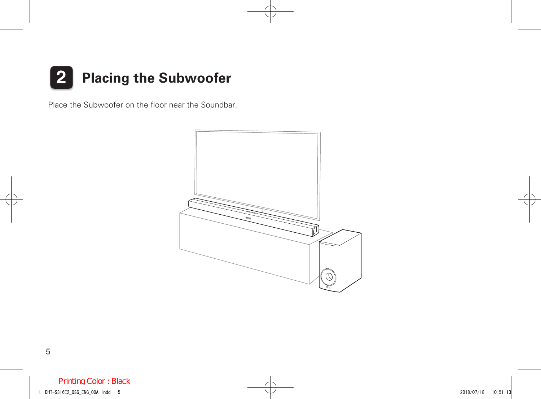

Place the Subwoofer on the floor near the Soundbar.

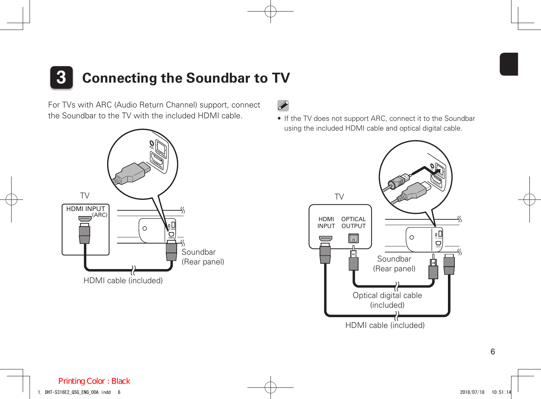## **3 Connecting the Soundbar to TV**

For TVs with ARC (Audio Return Channel) support, connect the Soundbar to the TV with the included HDMI cable.





• If the TV does not support ARC, connect it to the Soundbar using the included HDMI cable and optical digital cable.

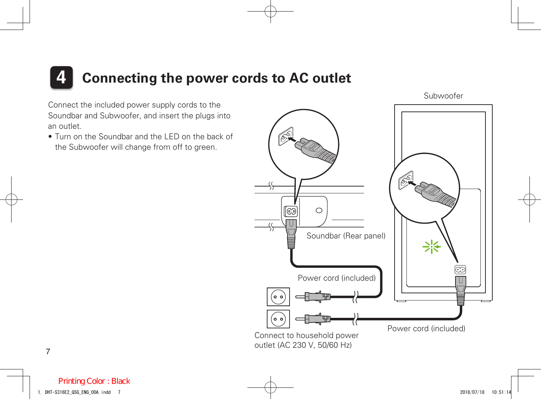## **4 Connecting the power cords to AC outlet**

Connect the included power supply cords to the Soundbar and Subwoofer, and insert the plugs into an outlet.

• Turn on the Soundbar and the LED on the back of the Subwoofer will change from off to green.



7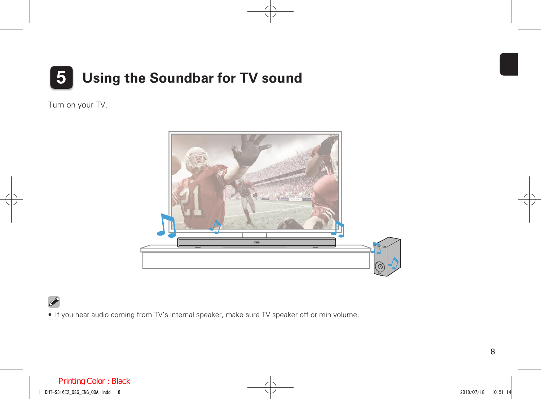

Turn on your TV.



• If you hear audio coming from TV's internal speaker, make sure TV speaker off or min volume.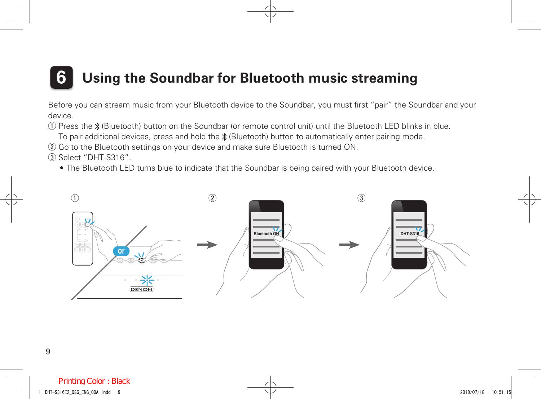## **6 Using the Soundbar for Bluetooth music streaming**

Before you can stream music from your Bluetooth device to the Soundbar, you must first "pair" the Soundbar and your device.

q Press the (Bluetooth) button on the Soundbar (or remote control unit) until the Bluetooth LED blinks in blue.

To pair additional devices, press and hold the  $\frac{*}{k}$  (Bluetooth) button to automatically enter pairing mode.

(2) Go to the Bluetooth settings on your device and make sure Bluetooth is turned ON.

 $(3)$  Select "DHT-S316".

• The Bluetooth LED turns blue to indicate that the Soundbar is being paired with your Bluetooth device.

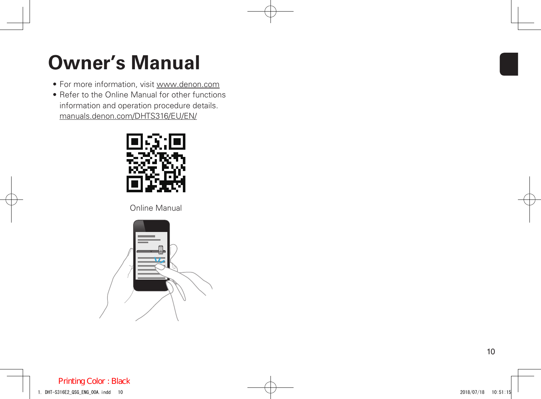## **Owner's Manual**

- For more information, visit www.denon.com
- Refer to the Online Manual for other functions information and operation procedure details. manuals.denon.com/DHTS316/EU/EN/



Online Manual